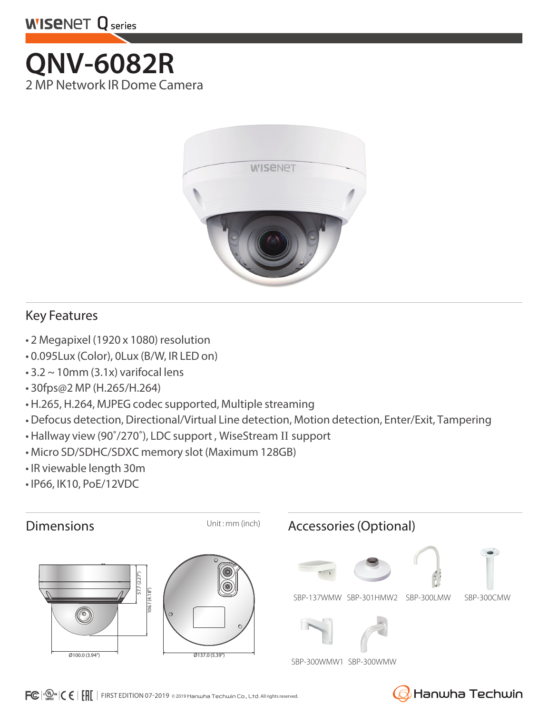

## **QNV-6082R** 2 MP Network IR Dome Camera



## Key Features

- 2 Megapixel (1920 x 1080) resolution
- 0.095Lux (Color), 0Lux (B/W, IR LED on)
- $\cdot$  3.2  $\sim$  10mm (3.1x) varifocal lens
- 30fps@2 MP (H.265/H.264)
- H.265, H.264, MJPEG codec supported, Multiple streaming
- Defocus detection, Directional/Virtual Line detection, Motion detection, Enter/Exit, Tampering
- Hallway view (90˚/270˚), LDC support , WiseStream II support
- Micro SD/SDHC/SDXC memory slot (Maximum 128GB)
- IR viewable length 30m
- IP66, IK10, PoE/12VDC



Hanwha Techwin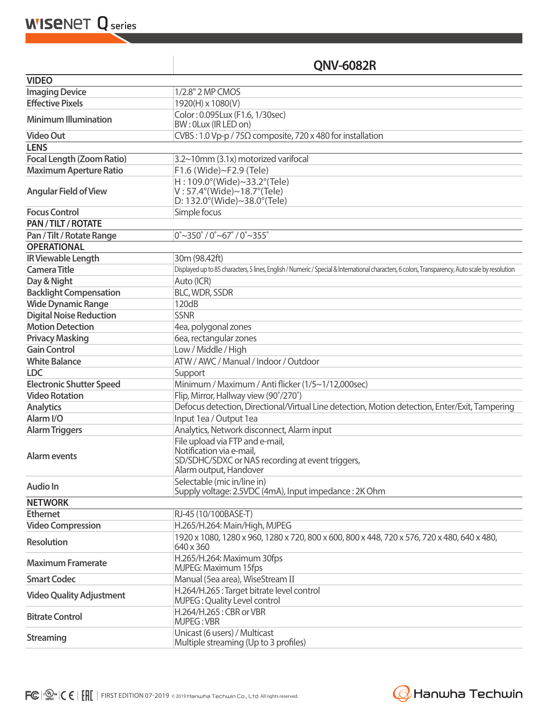**WISENET Q** series

## **QNV-6082R**

| <b>VIDEO</b>                     |                                                                                                                                                  |
|----------------------------------|--------------------------------------------------------------------------------------------------------------------------------------------------|
| <b>Imaging Device</b>            | 1/2.8" 2 MP CMOS                                                                                                                                 |
| <b>Effective Pixels</b>          | 1920(H) x 1080(V)                                                                                                                                |
| <b>Minimum Illumination</b>      | Color: 0.095Lux (F1.6, 1/30sec)<br>BW: 0Lux (IR LED on)                                                                                          |
| <b>Video Out</b>                 | CVBS: 1.0 Vp-p / 75 $\Omega$ composite, 720 x 480 for installation                                                                               |
| <b>LENS</b>                      |                                                                                                                                                  |
| <b>Focal Length (Zoom Ratio)</b> | 3.2~10mm (3.1x) motorized varifocal                                                                                                              |
| <b>Maximum Aperture Ratio</b>    | F1.6 (Wide)~F2.9 (Tele)                                                                                                                          |
| <b>Angular Field of View</b>     | H: 109.0°(Wide)~33.2°(Tele)<br>$V: 57.4^{\circ}$ (Wide)~18.7 $^{\circ}$ (Tele)<br>D: 132.0°(Wide)~38.0°(Tele)                                    |
| <b>Focus Control</b>             | Simple focus                                                                                                                                     |
| PAN / TILT / ROTATE              |                                                                                                                                                  |
| Pan / Tilt / Rotate Range        | $0^{\circ}$ ~350 $^{\circ}$ / 0 $^{\circ}$ ~67 $^{\circ}$ / 0 $^{\circ}$ ~355 $^{\circ}$                                                         |
| <b>OPERATIONAL</b>               |                                                                                                                                                  |
| <b>IR Viewable Length</b>        | 30m (98.42ft)                                                                                                                                    |
| <b>Camera Title</b>              | Displayed up to 85 characters, 5 lines, English / Numeric / Special & International characters, 6 colors, Transparency, Auto scale by resolution |
| Day & Night                      | Auto (ICR)                                                                                                                                       |
| <b>Backlight Compensation</b>    | BLC, WDR, SSDR                                                                                                                                   |
| <b>Wide Dynamic Range</b>        | 120dB                                                                                                                                            |
| <b>Digital Noise Reduction</b>   | <b>SSNR</b>                                                                                                                                      |
| <b>Motion Detection</b>          | 4ea, polygonal zones                                                                                                                             |
| <b>Privacy Masking</b>           | 6ea, rectangular zones                                                                                                                           |
| <b>Gain Control</b>              | Low / Middle / High                                                                                                                              |
| <b>White Balance</b>             | ATW / AWC / Manual / Indoor / Outdoor                                                                                                            |
| <b>LDC</b>                       | Support                                                                                                                                          |
| <b>Electronic Shutter Speed</b>  | Minimum / Maximum / Anti flicker (1/5~1/12,000sec)                                                                                               |
| <b>Video Rotation</b>            | Flip, Mirror, Hallway view (90°/270°)                                                                                                            |
| <b>Analytics</b>                 | Defocus detection, Directional/Virtual Line detection, Motion detection, Enter/Exit, Tampering                                                   |
| Alarm <sub>I/O</sub>             | Input 1ea / Output 1ea                                                                                                                           |
| <b>Alarm Triggers</b>            | Analytics, Network disconnect, Alarm input                                                                                                       |
| Alarm events                     | File upload via FTP and e-mail,<br>Notification via e-mail,<br>SD/SDHC/SDXC or NAS recording at event triggers,<br>Alarm output, Handover        |
| <b>Audio In</b>                  | Selectable (mic in/line in)<br>Supply voltage: 2.5VDC (4mA), Input impedance : 2K Ohm                                                            |
| <b>NETWORK</b>                   |                                                                                                                                                  |
| <b>Ethernet</b>                  | RJ-45 (10/100BASE-T)                                                                                                                             |
| <b>Video Compression</b>         | H.265/H.264: Main/High, MJPEG                                                                                                                    |
| <b>Resolution</b>                | 1920 x 1080, 1280 x 960, 1280 x 720, 800 x 600, 800 x 448, 720 x 576, 720 x 480, 640 x 480,<br>640 x 360                                         |
| <b>Maximum Framerate</b>         | H.265/H.264: Maximum 30fps<br>MJPEG: Maximum 15fps                                                                                               |
| <b>Smart Codec</b>               | Manual (5ea area), WiseStream II                                                                                                                 |
| <b>Video Quality Adjustment</b>  | H.264/H.265: Target bitrate level control<br>MJPEG: Quality Level control                                                                        |
| <b>Bitrate Control</b>           | H.264/H.265: CBR or VBR<br>MJPEG: VBR                                                                                                            |
| <b>Streaming</b>                 | Unicast (6 users) / Multicast<br>Multiple streaming (Up to 3 profiles)                                                                           |